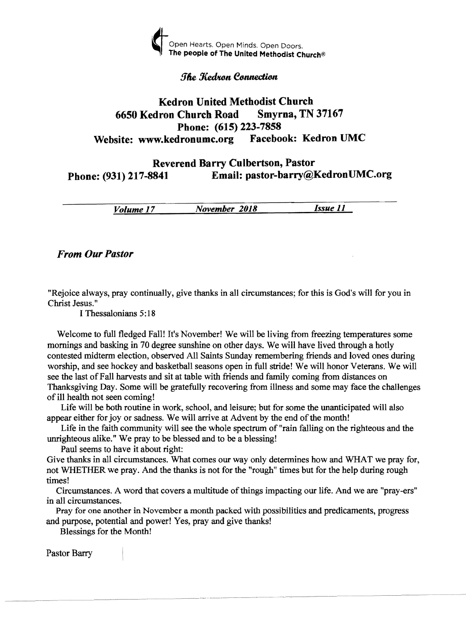

## **The Kedron Connection**

# Kedron United Methodist Church<br>
ron Church Road Smyrna, TN 37167 6650 Kedron Church Road Phone: (615) 223-7858<br>dronumc.org Facebook: Kedron UMC Website: www.kedronumc.org

# Reverend Barry Culbertson, Pastor Phone: (931) 217-8841 Email: pastor-barry@KedronUMC.org

*Volume* 17 *November 2018 Issue 11* 

## *From Our Pastor*

"Rejoice always, pray continually, give thanks in all circumstances; for this is God's will for you in Christ Jesus. "

I Thessalonians 5: 18

Welcome to full fledged Fall! It's November! We will be living from freezing temperatures some mornings and basking in 70 degree sunshine on other days. We will have lived through a hotly contested midterm election, observed All Saints Sunday remembering friends and loved ones during worship, and see hockey and basketball seasons open in full stride! We will honor Veterans. We will see the last of Fall harvests and sit at table with friends and family coming from distances on Thanksgiving Day. Some will be gratefully recovering from illness and some may face the challenges of ill health not seen coming!

Life will be both routine in work, school, and leisure; but for some the unanticipated will also appear either for joy or sadness. We will arrive at Advent by the end of the month!

Life in the faith community will see the whole spectrum of "rain falling on the righteous and the unrighteous alike." We pray to be blessed and to be a blessing!

Paul seems to have it about right:

Give thanks in all circumstances. What comes our way only determines how and WHAT we pray for, not WHETHER we pray. And the thanks is not for the "rough" times but for the help during rough times!

Circumstances. A word that covers a multitude of things impacting our life. And we are "pray-ers" in all circumstances.

Pray for one another in November a month packed with possibilities and predicaments, progress and purpose, potential and power! Yes, pray and give thanks!

Blessings for the Month!

Pastor Barry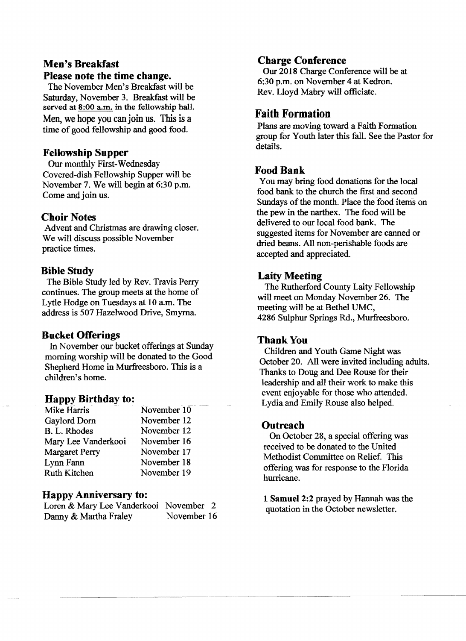# Men's Breakfast Please note the time change.

The November Men's Breakfast will be Saturday, November 3. Breakfast will be served at  $8:00$  a.m. in the fellowship hall. Men, we hope you canjoin us. This is a time of good fellowship and good food.

# Fellowship Supper

Our monthly First-Wednesday Covered-dish Fellowship Supper will be November 7. We will begin at 6:30 p.m. Come and join us.

## Choir Notes

Advent and Christmas are drawing closer. We will discuss possible November practice times.

# Bible Study

The Bible Study led by Rev. Travis Perry continues. The group meets at the home of Lytle Hodge on Tuesdays at 10 a.m. The address is 507 Hazelwood Drive, Smyrna.

## Bucket Offerings

In November our bucket offerings at Sunday morning worship will be donated to the Good Shepherd Home in Murfreesboro. This is a children's home.

# Happy Birthday to:

| Mike Harris           | November 10 |
|-----------------------|-------------|
| Gaylord Dorn          | November 12 |
| B. L. Rhodes          | November 12 |
| Mary Lee Vanderkooi   | November 16 |
| <b>Margaret Perry</b> | November 17 |
| Lynn Fann             | November 18 |
| <b>Ruth Kitchen</b>   | November 19 |
|                       |             |

## Happy Anniversary to:

Loren & Mary Lee Vanderkooi November 2 Danny & Martha Fraley November 16

# Charge Conference

Our 2018 Charge Conference will be at 6:30 p.m. on November 4 at Kedron. Rev. Lloyd Mabry will officiate.

# Faith Formation

Plans are moving toward a Faith Formation group for Youth later this fall. See the Pastor for details.

# Food Bank

You may bring food donations for the local food bank to the church the first and second Sundays of the month. Place the food items on the pew in the narthex. The food will be delivered to our local food bank. The suggested items for November are canned or dried beans. All non-perishable foods are accepted and appreciated.

# Laity Meeting

The Rutherford County Laity Fellowship will meet on Monday November 26. The meeting will be at Bethel UMC, 4286 Sulphur Springs Rd., Murfreesboro.

## Thank You

Children and Youth Game Night was October 20. All were invited including adults. Thanks to Doug and Dee Rouse for their leadership and all their work to make this event enjoyable for those who attended. Lydia and Emily Rouse also helped.

# Outreach

On October 28, a special offering was received to be donated to the United Methodist Committee on Relief. This offering was for response to the Florida hurricane.

1 Samuel 2:2 prayed by Hannah was the quotation in the October newsletter.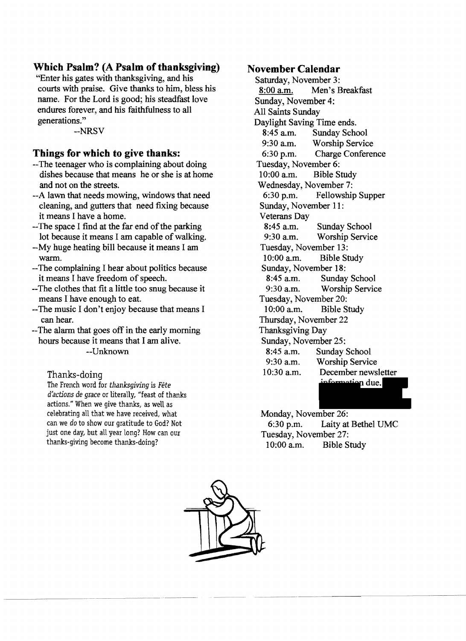# **Which Psalm? (A Psalm of thanksgiving)**

"Enter his gates with thanksgiving, and his courts with praise. Give thanks to him, bless his name. For the Lord is good; his steadfast love endures forever, and his faithfulness to all generations."

--NRSV

## **Things for which to give thanks:**

- --The teenager who is complaining about doing dishes because that means he or she is at home and not on the streets.
- --A lawn that needs mowing, windows that need cleaning, and gutters that need fixing because it means I have a home.
- $-$ The space I find at the far end of the parking lot because it means I am capable of walking.
- --My huge heating bill because it means I am warm.
- --The complaining I hear about politics because it means I have freedom of speech.
- --The clothes that fit a little too snug because it means I have enough to eat.
- --The music I don't enjoy because that means I can hear.

--The alarm that goes off in the early morning hours because it means that I am alive. --Unknown

## Thanks-doing

The French word for *thanksgiving* is *Fete d'actions de grace* or literally, "feast of thanks actions." When we give thanks, as well as celebrating all that we have received, what can we do to show our gratitude to God? Not just one day, but all year long? How can our thanks-giving become thanks-doing?

## **November Calendar**

Saturday, November 3: 8:00 a.m. Men's Breakfast Sunday, November 4: All Saints Sunday Daylight Saving Time ends. 8:45 a.m. Sunday School 9:30 a.m. Worship Service 6:30 p.m. Charge Conference Tuesday, November 6: 10:00 a.m. Bible Study Wednesday, November 7: 6:30 p.m. Fellowship Supper Sunday, November 11: Veterans Day<br>8:45 a.m. Sunday School 9:30 a.m. Worship Service Tuesday, November 13: 10:00 a.m. Bible Study Sunday, November 18: 8:45 a.m. Sunday School 9:30 a.m. Worship Service Tuesday, November 20: 10:00 a.m. Bible Study Thursday, November 22 Thanksgiving Day Sunday, November 25: 8:45 a.m. Sunday School 9:30 a.m. Worship Service 10:30 a.m. December newsletter nformation due.

Monday, November 26: 6:30 p.m. Laity at Bethel UMC Tuesday, November 27: 10:00 a.m. Bible Study